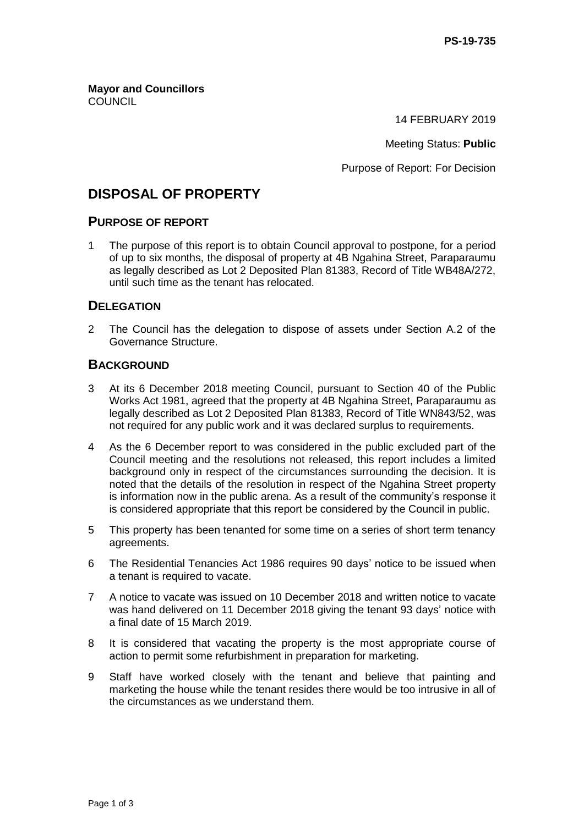**Mayor and Councillors COUNCIL** 

14 FEBRUARY 2019

Meeting Status: **Public**

Purpose of Report: For Decision

# **DISPOSAL OF PROPERTY**

#### **PURPOSE OF REPORT**

1 The purpose of this report is to obtain Council approval to postpone, for a period of up to six months, the disposal of property at 4B Ngahina Street, Paraparaumu as legally described as Lot 2 Deposited Plan 81383, Record of Title WB48A/272, until such time as the tenant has relocated.

## **DELEGATION**

2 The Council has the delegation to dispose of assets under Section A.2 of the Governance Structure.

## **BACKGROUND**

- 3 At its 6 December 2018 meeting Council, pursuant to Section 40 of the Public Works Act 1981, agreed that the property at 4B Ngahina Street, Paraparaumu as legally described as Lot 2 Deposited Plan 81383, Record of Title WN843/52, was not required for any public work and it was declared surplus to requirements.
- 4 As the 6 December report to was considered in the public excluded part of the Council meeting and the resolutions not released, this report includes a limited background only in respect of the circumstances surrounding the decision. It is noted that the details of the resolution in respect of the Ngahina Street property is information now in the public arena. As a result of the community's response it is considered appropriate that this report be considered by the Council in public.
- 5 This property has been tenanted for some time on a series of short term tenancy agreements.
- 6 The Residential Tenancies Act 1986 requires 90 days' notice to be issued when a tenant is required to vacate.
- 7 A notice to vacate was issued on 10 December 2018 and written notice to vacate was hand delivered on 11 December 2018 giving the tenant 93 days' notice with a final date of 15 March 2019.
- 8 It is considered that vacating the property is the most appropriate course of action to permit some refurbishment in preparation for marketing.
- 9 Staff have worked closely with the tenant and believe that painting and marketing the house while the tenant resides there would be too intrusive in all of the circumstances as we understand them.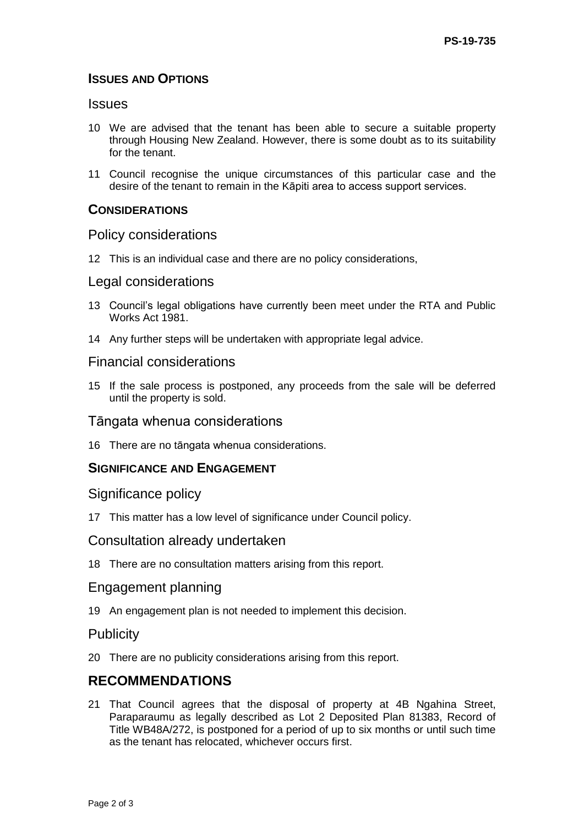## **ISSUES AND OPTIONS**

### **Issues**

- 10 We are advised that the tenant has been able to secure a suitable property through Housing New Zealand. However, there is some doubt as to its suitability for the tenant.
- 11 Council recognise the unique circumstances of this particular case and the desire of the tenant to remain in the Kāpiti area to access support services.

### **CONSIDERATIONS**

#### Policy considerations

12 This is an individual case and there are no policy considerations,

#### Legal considerations

- 13 Council's legal obligations have currently been meet under the RTA and Public Works Act 1981.
- 14 Any further steps will be undertaken with appropriate legal advice.

## Financial considerations

15 If the sale process is postponed, any proceeds from the sale will be deferred until the property is sold.

#### Tāngata whenua considerations

16 There are no tāngata whenua considerations.

## **SIGNIFICANCE AND ENGAGEMENT**

#### Significance policy

17 This matter has a low level of significance under Council policy.

#### Consultation already undertaken

18 There are no consultation matters arising from this report.

### Engagement planning

19 An engagement plan is not needed to implement this decision.

#### **Publicity**

20 There are no publicity considerations arising from this report.

## **RECOMMENDATIONS**

21 That Council agrees that the disposal of property at 4B Ngahina Street, Paraparaumu as legally described as Lot 2 Deposited Plan 81383, Record of Title WB48A/272, is postponed for a period of up to six months or until such time as the tenant has relocated, whichever occurs first.